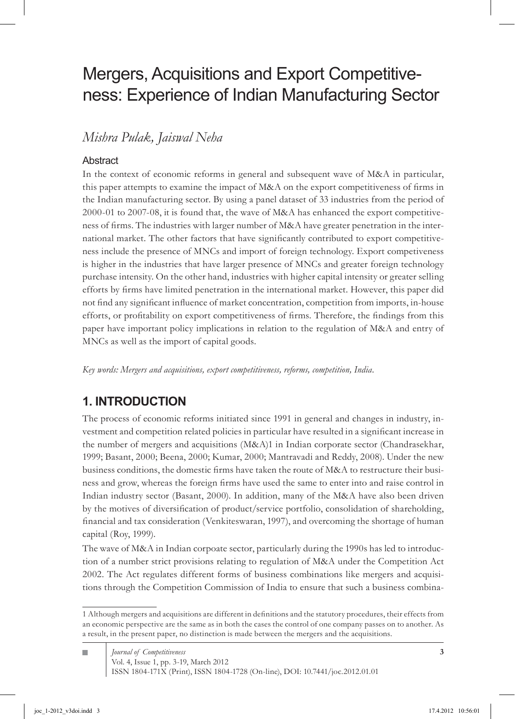# Mergers, Acquisitions and Export Competitiveness: Experience of Indian Manufacturing Sector

*Mishra Pulak, Jaiswal Neha*

### Abstract

In the context of economic reforms in general and subsequent wave of M&A in particular, this paper attempts to examine the impact of M&A on the export competitiveness of firms in the Indian manufacturing sector. By using a panel dataset of 33 industries from the period of 2000-01 to 2007-08, it is found that, the wave of M&A has enhanced the export competitiveness of firms. The industries with larger number of M&A have greater penetration in the international market. The other factors that have significantly contributed to export competitiveness include the presence of MNCs and import of foreign technology. Export competiveness is higher in the industries that have larger presence of MNCs and greater foreign technology purchase intensity. On the other hand, industries with higher capital intensity or greater selling efforts by firms have limited penetration in the international market. However, this paper did not find any significant influence of market concentration, competition from imports, in-house efforts, or profitability on export competitiveness of firms. Therefore, the findings from this paper have important policy implications in relation to the regulation of M&A and entry of MNCs as well as the import of capital goods.

*Key words: Mergers and acquisitions, export competitiveness, reforms, competition, India.*

# **1. INTRODUCTION**

The process of economic reforms initiated since 1991 in general and changes in industry, investment and competition related policies in particular have resulted in a significant increase in the number of mergers and acquisitions (M&A) in Indian corporate sector (Chandrasekhar, 1999; Basant, 2000; Beena, 2000; Kumar, 2000; Mantravadi and Reddy, 2008). Under the new business conditions, the domestic firms have taken the route of M&A to restructure their business and grow, whereas the foreign firms have used the same to enter into and raise control in Indian industry sector (Basant, 2000). In addition, many of the M&A have also been driven by the motives of diversification of product/service portfolio, consolidation of shareholding, financial and tax consideration (Venkiteswaran, 1997), and overcoming the shortage of human capital (Roy, 1999).

The wave of M&A in Indian corpoate sector, particularly during the 1990s has led to introduction of a number strict provisions relating to regulation of M&A under the Competition Act 2002. The Act regulates different forms of business combinations like mergers and acquisitions through the Competition Commission of India to ensure that such a business combina-

Although mergers and acquisitions are different in definitions and the statutory procedures, their effects from an economic perspective are the same as in both the cases the control of one company passes on to another. As a result, in the present paper, no distinction is made between the mergers and the acquisitions.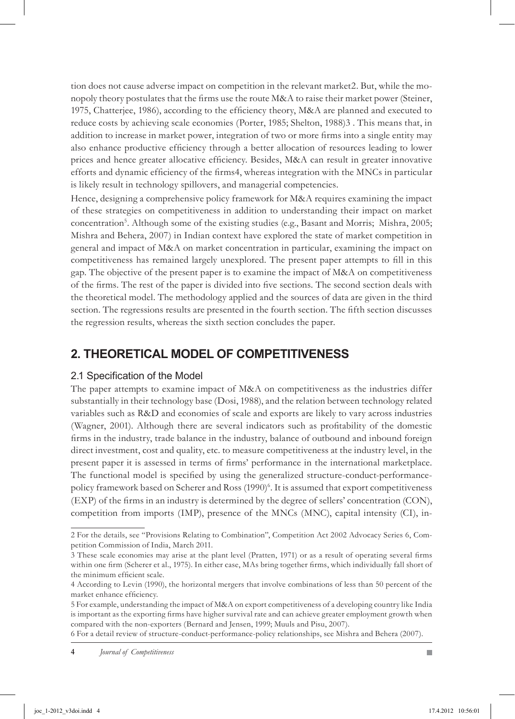tion does not cause adverse impact on competition in the relevant market 2. But, while the monopoly theory postulates that the firms use the route M&A to raise their market power (Steiner, 1975, Chatterjee, 1986), according to the efficiency theory, M&A are planned and executed to reduce costs by achieving scale economies (Porter, 1985; Shelton, 1988) . This means that, in addition to increase in market power, integration of two or more firms into a single entity may also enhance productive efficiency through a better allocation of resources leading to lower prices and hence greater allocative efficiency. Besides, M&A can result in greater innovative efforts and dynamic efficiency of the firms 4, whereas integration with the MNCs in particular is likely result in technology spillovers, and managerial competencies.

Hence, designing a comprehensive policy framework for M&A requires examining the impact of these strategies on competitiveness in addition to understanding their impact on market concentration<sup>5</sup>. Although some of the existing studies (e.g., Basant and Morris; Mishra, 2005; Mishra and Behera, 2007) in Indian context have explored the state of market competition in general and impact of M&A on market concentration in particular, examining the impact on competitiveness has remained largely unexplored. The present paper attempts to fill in this gap. The objective of the present paper is to examine the impact of M&A on competitiveness of the firms. The rest of the paper is divided into five sections. The second section deals with the theoretical model. The methodology applied and the sources of data are given in the third section. The regressions results are presented in the fourth section. The fifth section discusses the regression results, whereas the sixth section concludes the paper.

### **2. Theoretical Model of Competitiveness**

### 2.1 Specification of the Model

The paper attempts to examine impact of M&A on competitiveness as the industries differ substantially in their technology base (Dosi, 1988), and the relation between technology related variables such as R&D and economies of scale and exports are likely to vary across industries (Wagner, 2001). Although there are several indicators such as profitability of the domestic firms in the industry, trade balance in the industry, balance of outbound and inbound foreign direct investment, cost and quality, etc. to measure competitiveness at the industry level, in the present paper it is assessed in terms of firms' performance in the international marketplace. The functional model is specified by using the generalized structure-conduct-performancepolicy framework based on Scherer and Ross (1990) . It is assumed that export competitiveness (EXP) of the firms in an industry is determined by the degree of sellers' concentration (CON), competition from imports (IMP), presence of the MNCs (MNC), capital intensity (CI), in-

For the details, see "Provisions Relating to Combination", Competition Act 2002 Advocacy Series 6, Competition Commission of India, March 2011.

These scale economies may arise at the plant level (Pratten, 1971) or as a result of operating several firms within one firm (Scherer et al., 1975). In either case, MAs bring together firms, which individually fall short of the minimum efficient scale.

According to Levin (1990), the horizontal mergers that involve combinations of less than 50 percent of the market enhance efficiency.

For example, understanding the impact of M&A on export competitiveness of a developing country like India is important as the exporting firms have higher survival rate and can achieve greater employment growth when compared with the non-exporters (Bernard and Jensen, 1999; Muuls and Pisu, 2007).

For a detail review of structure-conduct-performance-policy relationships, see Mishra and Behera (2007).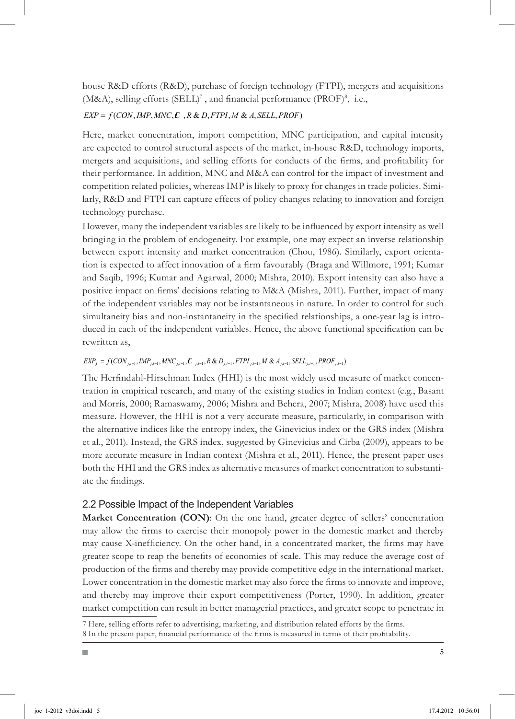house R&D efforts (R&D), purchase of foreign technology (FTPI), mergers and acquisitions (M&A), selling efforts (SELL)<sup>7</sup>, and financial performance (PROF)<sup>8</sup>, i.e.,

#### $EXP = f(CON, IMP, MNC, C, R & D, FTPI, M & A, SELL, PROF)$

Here, market concentration, import competition, MNC participation, and capital intensity are expected to control structural aspects of the market, in-house R&D, technology imports, mergers and acquisitions, and selling efforts for conducts of the firms, and profitability for their performance. In addition, MNC and M&A can control for the impact of investment and competition related policies, whereas IMP is likely to proxy for changes in trade policies. Similarly, R&D and FTPI can capture effects of policy changes relating to innovation and foreign technology purchase.

However, many the independent variables are likely to be influenced by export intensity as well bringing in the problem of endogeneity. For example, one may expect an inverse relationship between export intensity and market concentration (Chou, 1986). Similarly, export orientation is expected to affect innovation of a firm favourably (Braga and Willmore, 1991; Kumar and Saqib, 1996; Kumar and Agarwal, 2000; Mishra, 2010). Export intensity can also have a positive impact on firms' decisions relating to M&A (Mishra, 2011). Further, impact of many of the independent variables may not be instantaneous in nature. In order to control for such simultaneity bias and non-instantaneity in the specified relationships, a one-year lag is introduced in each of the independent variables. Hence, the above functional specification can be rewritten as,

#### $EXP_{i} = f(CON_{i,t-1},IMP_{i,t-1}, MNC_{i,t-1}, \mathcal{L}_{i,t-1}, R & D_{i,t-1}, FTPI_{i,t-1}, M & A_{i,t-1}, SELL_{i,t-1}, PROF_{i,t-1})$

The Herfindahl-Hirschman Index (HHI) is the most widely used measure of market concentration in empirical research, and many of the existing studies in Indian context (e.g., Basant and Morris, 2000; Ramaswamy, 2006; Mishra and Behera, 2007; Mishra, 2008) have used this measure. However, the HHI is not a very accurate measure, particularly, in comparison with the alternative indices like the entropy index, the Ginevicius index or the GRS index (Mishra et al., 2011). Instead, the GRS index, suggested by Ginevicius and Cirba (2009), appears to be more accurate measure in Indian context (Mishra et al., 2011). Hence, the present paper uses both the HHI and the GRS index as alternative measures of market concentration to substantiate the findings.

### 2.2 Possible Impact of the Independent Variables

**Market Concentration (CON)**: On the one hand, greater degree of sellers' concentration may allow the firms to exercise their monopoly power in the domestic market and thereby may cause X-inefficiency. On the other hand, in a concentrated market, the firms may have greater scope to reap the benefits of economies of scale. This may reduce the average cost of production of the firms and thereby may provide competitive edge in the international market. Lower concentration in the domestic market may also force the firms to innovate and improve, and thereby may improve their export competitiveness (Porter, 1990). In addition, greater market competition can result in better managerial practices, and greater scope to penetrate in

Here, selling efforts refer to advertising, marketing, and distribution related efforts by the firms.

In the present paper, financial performance of the firms is measured in terms of their profitability.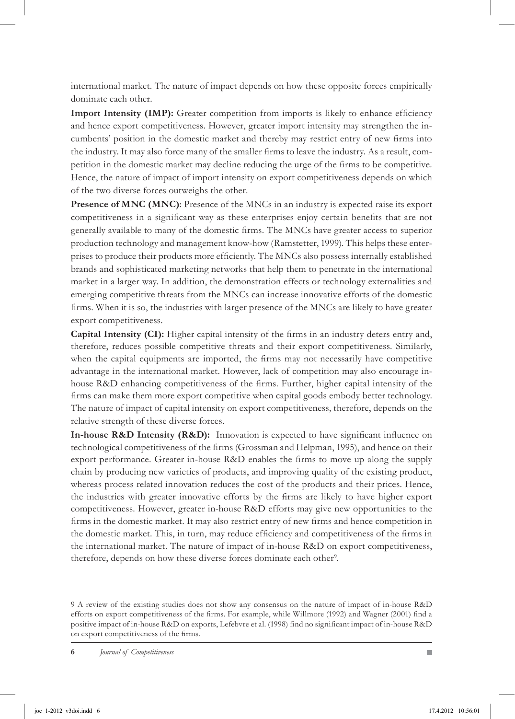international market. The nature of impact depends on how these opposite forces empirically dominate each other.

**Import Intensity (IMP):** Greater competition from imports is likely to enhance efficiency and hence export competitiveness. However, greater import intensity may strengthen the incumbents' position in the domestic market and thereby may restrict entry of new firms into the industry. It may also force many of the smaller firms to leave the industry. As a result, competition in the domestic market may decline reducing the urge of the firms to be competitive. Hence, the nature of impact of import intensity on export competitiveness depends on which of the two diverse forces outweighs the other.

**Presence of MNC (MNC)**: Presence of the MNCs in an industry is expected raise its export competitiveness in a significant way as these enterprises enjoy certain benefits that are not generally available to many of the domestic firms. The MNCs have greater access to superior production technology and management know-how (Ramstetter, 1999). This helps these enterprises to produce their products more efficiently. The MNCs also possess internally established brands and sophisticated marketing networks that help them to penetrate in the international market in a larger way. In addition, the demonstration effects or technology externalities and emerging competitive threats from the MNCs can increase innovative efforts of the domestic firms. When it is so, the industries with larger presence of the MNCs are likely to have greater export competitiveness.

**Capital Intensity (CI):** Higher capital intensity of the firms in an industry deters entry and, therefore, reduces possible competitive threats and their export competitiveness. Similarly, when the capital equipments are imported, the firms may not necessarily have competitive advantage in the international market. However, lack of competition may also encourage inhouse R&D enhancing competitiveness of the firms. Further, higher capital intensity of the firms can make them more export competitive when capital goods embody better technology. The nature of impact of capital intensity on export competitiveness, therefore, depends on the relative strength of these diverse forces.

**In-house R&D Intensity (R&D):** Innovation is expected to have significant influence on technological competitiveness of the firms (Grossman and Helpman, 1995), and hence on their export performance. Greater in-house R&D enables the firms to move up along the supply chain by producing new varieties of products, and improving quality of the existing product, whereas process related innovation reduces the cost of the products and their prices. Hence, the industries with greater innovative efforts by the firms are likely to have higher export competitiveness. However, greater in-house R&D efforts may give new opportunities to the firms in the domestic market. It may also restrict entry of new firms and hence competition in the domestic market. This, in turn, may reduce efficiency and competitiveness of the firms in the international market. The nature of impact of in-house R&D on export competitiveness, therefore, depends on how these diverse forces dominate each other<sup>9</sup>.

A review of the existing studies does not show any consensus on the nature of impact of in-house R&D efforts on export competitiveness of the firms. For example, while Willmore (1992) and Wagner (2001) find a positive impact of in-house R&D on exports, Lefebvre et al. (1998) find no significant impact of in-house R&D on export competitiveness of the firms.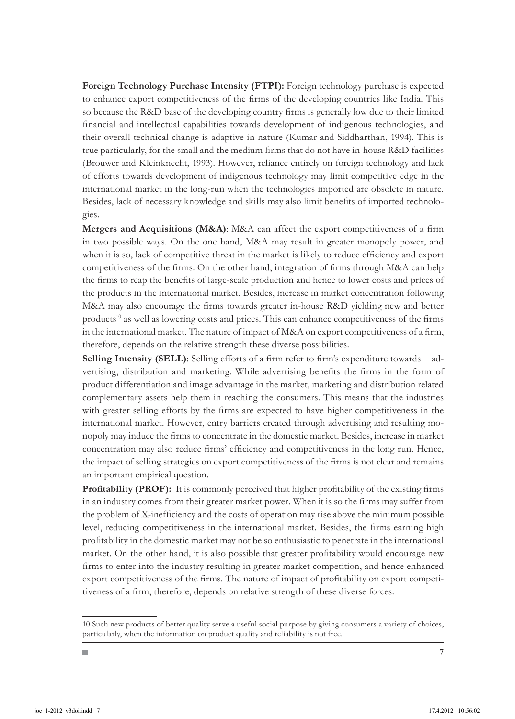**Foreign Technology Purchase Intensity (FTPI):** Foreign technology purchase is expected to enhance export competitiveness of the firms of the developing countries like India. This so because the R&D base of the developing country firms is generally low due to their limited financial and intellectual capabilities towards development of indigenous technologies, and their overall technical change is adaptive in nature (Kumar and Siddharthan, 1994). This is true particularly, for the small and the medium firms that do not have in-house R&D facilities (Brouwer and Kleinknecht, 1993). However, reliance entirely on foreign technology and lack of efforts towards development of indigenous technology may limit competitive edge in the international market in the long-run when the technologies imported are obsolete in nature. Besides, lack of necessary knowledge and skills may also limit benefits of imported technologies.

**Mergers and Acquisitions (M&A)**: M&A can affect the export competitiveness of a firm in two possible ways. On the one hand, M&A may result in greater monopoly power, and when it is so, lack of competitive threat in the market is likely to reduce efficiency and export competitiveness of the firms. On the other hand, integration of firms through M&A can help the firms to reap the benefits of large-scale production and hence to lower costs and prices of the products in the international market. Besides, increase in market concentration following M&A may also encourage the firms towards greater in-house R&D yielding new and better products<sup>10</sup> as well as lowering costs and prices. This can enhance competitiveness of the firms in the international market. The nature of impact of M&A on export competitiveness of a firm, therefore, depends on the relative strength these diverse possibilities.

**Selling Intensity (SELL)**: Selling efforts of a firm refer to firm's expenditure towards advertising, distribution and marketing. While advertising benefits the firms in the form of product differentiation and image advantage in the market, marketing and distribution related complementary assets help them in reaching the consumers. This means that the industries with greater selling efforts by the firms are expected to have higher competitiveness in the international market. However, entry barriers created through advertising and resulting monopoly may induce the firms to concentrate in the domestic market. Besides, increase in market concentration may also reduce firms' efficiency and competitiveness in the long run. Hence, the impact of selling strategies on export competitiveness of the firms is not clear and remains an important empirical question.

**Profitability (PROF):** It is commonly perceived that higher profitability of the existing firms in an industry comes from their greater market power. When it is so the firms may suffer from the problem of X-inefficiency and the costs of operation may rise above the minimum possible level, reducing competitiveness in the international market. Besides, the firms earning high profitability in the domestic market may not be so enthusiastic to penetrate in the international market. On the other hand, it is also possible that greater profitability would encourage new firms to enter into the industry resulting in greater market competition, and hence enhanced export competitiveness of the firms. The nature of impact of profitability on export competitiveness of a firm, therefore, depends on relative strength of these diverse forces.

<sup>10</sup> Such new products of better quality serve a useful social purpose by giving consumers a variety of choices, particularly, when the information on product quality and reliability is not free.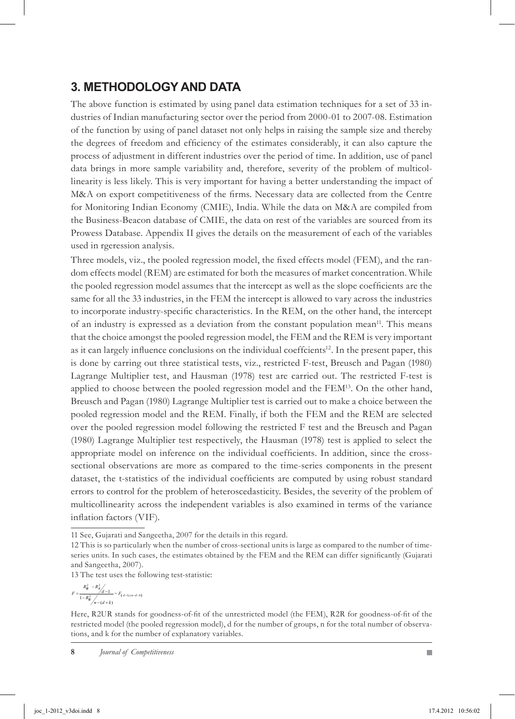# **3. Methodology and Data**

The above function is estimated by using panel data estimation techniques for a set of 33 industries of Indian manufacturing sector over the period from 2000-01 to 2007-08. Estimation of the function by using of panel dataset not only helps in raising the sample size and thereby the degrees of freedom and efficiency of the estimates considerably, it can also capture the process of adjustment in different industries over the period of time. In addition, use of panel data brings in more sample variability and, therefore, severity of the problem of multicollinearity is less likely. This is very important for having a better understanding the impact of M&A on export competitiveness of the firms. Necessary data are collected from the Centre for Monitoring Indian Economy (CMIE), India. While the data on M&A are compiled from the Business-Beacon database of CMIE, the data on rest of the variables are sourced from its Prowess Database. Appendix II gives the details on the measurement of each of the variables used in rgeression analysis.

Three models, viz., the pooled regression model, the fixed effects model (FEM), and the random effects model (REM) are estimated for both the measures of market concentration. While the pooled regression model assumes that the intercept as well as the slope coefficients are the same for all the 33 industries, in the FEM the intercept is allowed to vary across the industries to incorporate industry-specific characteristics. In the REM, on the other hand, the intercept of an industry is expressed as a deviation from the constant population mean11. This means that the choice amongst the pooled regression model, the FEM and the REM is very important as it can largely influence conclusions on the individual coeffcients<sup>12</sup>. In the present paper, this is done by carring out three statistical tests, viz., restricted F-test, Breusch and Pagan (1980) Lagrange Multiplier test, and Hausman (1978) test are carried out. The restricted F-test is applied to choose between the pooled regression model and the  $FEM<sup>13</sup>$ . On the other hand, Breusch and Pagan (1980) Lagrange Multiplier test is carried out to make a choice between the pooled regression model and the REM. Finally, if both the FEM and the REM are selected over the pooled regression model following the restricted F test and the Breusch and Pagan (1980) Lagrange Multiplier test respectively, the Hausman (1978) test is applied to select the appropriate model on inference on the individual coefficients. In addition, since the crosssectional observations are more as compared to the time-series components in the present dataset, the t-statistics of the individual coefficients are computed by using robust standard errors to control for the problem of heteroscedasticity. Besides, the severity of the problem of multicollinearity across the independent variables is also examined in terms of the variance inflation factors (VIF).

13 The test uses the following test-statistic:

$$
F = \frac{R_{\mathcal{R}}^2 - R_{\mathcal{R}}^2}{1 - R_{\mathcal{R}}^2} \frac{1}{n - (d + k)} \sim F_{[d-1)(n - d - k]}
$$

<sup>11</sup> See, Gujarati and Sangeetha, 2007 for the details in this regard.

<sup>12</sup> This is so particularly when the number of cross-sectional units is large as compared to the number of timeseries units. In such cases, the estimates obtained by the FEM and the REM can differ significantly (Gujarati and Sangeetha, 2007).

Here, R2UR stands for goodness-of-fit of the unrestricted model (the FEM), R2R for goodness-of-fit of the restricted model (the pooled regression model), d for the number of groups, n for the total number of observations, and k for the number of explanatory variables.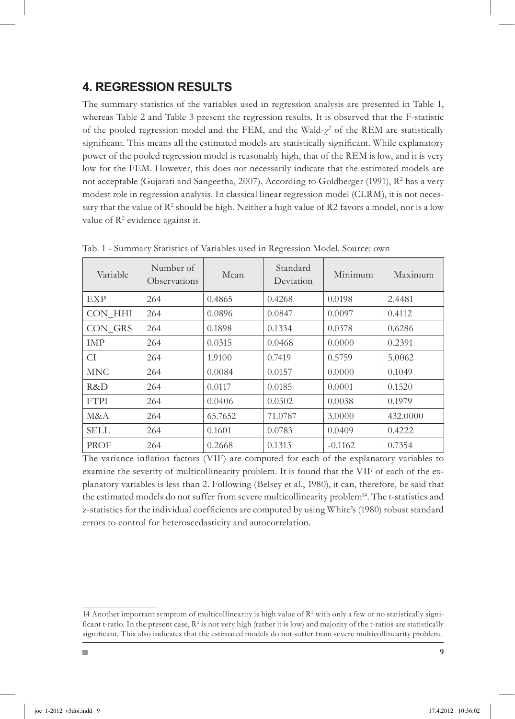### **4. Regression Results**

The summary statistics of the variables used in regression analysis are presented in Table 1, whereas Table 2 and Table 3 present the regression results. It is observed that the F-statistic of the pooled regression model and the FEM, and the Wald- $χ$ <sup>2</sup> of the REM are statistically significant. This means all the estimated models are statistically significant. While explanatory power of the pooled regression model is reasonably high, that of the REM is low, and it is very low for the FEM. However, this does not necessarily indicate that the estimated models are not acceptable (Gujarati and Sangeetha, 2007). According to Goldberger (1991),  $\mathbb{R}^2$  has a very modest role in regression analysis. In classical linear regression model (CLRM), it is not necessary that the value of  $\mathsf{R}^2$  should be high. Neither a high value of  $\mathsf{R}2$  favors a model, nor is a low value of  $\mathbb{R}^2$  evidence against it.

| Variable    | Number of<br>Observations | Mean    | Standard<br>Deviation | Minimum   | Maximum  |  |
|-------------|---------------------------|---------|-----------------------|-----------|----------|--|
| EXP         | 264                       | 0.4865  | 0.4268                | 0.0198    | 2.4481   |  |
| CON HHI     | 264                       | 0.0896  | 0.0847                | 0.0097    | 0.4112   |  |
| CON GRS     | 264                       | 0.1898  | 0.1334                | 0.0378    | 0.6286   |  |
| IMP         | 264                       | 0.0315  | 0.0468                | 0.0000    | 0.2391   |  |
| СI          | 264                       | 1.9100  | 0.7419                | 0.5759    | 5.0062   |  |
| <b>MNC</b>  | 264                       | 0.0084  | 0.0157                | 0.0000    | 0.1049   |  |
| R&D.        | 264                       | 0.0117  | 0.0185                | 0.0001    | 0.1520   |  |
| <b>FTPI</b> | 264                       | 0.0406  | 0.0302                | 0.0038    | 0.1979   |  |
| M&A         | 264                       | 65.7652 | 71.0787               | 3.0000    | 432.0000 |  |
| SELL        | 264                       | 0.1601  | 0.0783                | 0.0409    | 0.4222   |  |
| PROF        | 264                       | 0.2668  | 0.1313                | $-0.1162$ | 0.7354   |  |

Tab. 1 - Summary Statistics of Variables used in Regression Model. Source: own

The variance inflation factors (VIF) are computed for each of the explanatory variables to examine the severity of multicollinearity problem. It is found that the VIF of each of the explanatory variables is less than 2. Following (Belsey et al., 1980), it can, therefore, be said that the estimated models do not suffer from severe multicollinearity problem<sup>14</sup>. The t-statistics and z-statistics for the individual coefficients are computed by using White's (1980) robust standard errors to control for heteroscedasticity and autocorrelation.

<sup>14</sup> Another important symptom of multicollinearity is high value of  $\mathbb{R}^2$  with only a few or no statistically significant t-ratio. In the present case,  $R^2$  is not very high (rather it is low) and majority of the t-ratios are statistically significant. This also indicates that the estimated models do not suffer from severe multicollinearity problem.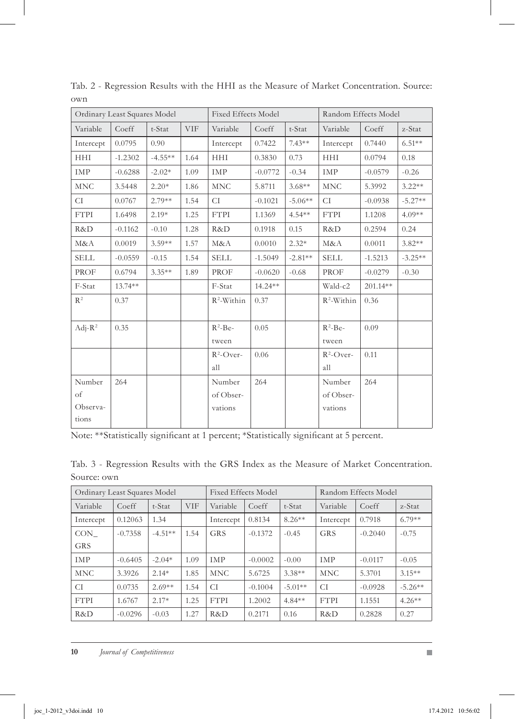| Ordinary Least Squares Model      |           |           | <b>Fixed Effects Model</b> |                                |           | Random Effects Model |                                |           |           |
|-----------------------------------|-----------|-----------|----------------------------|--------------------------------|-----------|----------------------|--------------------------------|-----------|-----------|
| Variable                          | Coeff     | t-Stat    | <b>VIF</b>                 | Variable                       | Coeff     | t-Stat               | Variable                       | Coeff     | z-Stat    |
| Intercept                         | 0.0795    | 0.90      |                            | Intercept                      | 0.7422    | $7.43**$             | Intercept                      | 0.7440    | $6.51**$  |
| <b>HHI</b>                        | $-1.2302$ | $-4.55**$ | 1.64                       | <b>HHI</b>                     | 0.3830    | 0.73                 | <b>HHI</b>                     | 0.0794    | 0.18      |
| IMP                               | $-0.6288$ | $-2.02*$  | 1.09                       | IMP                            | $-0.0772$ | $-0.34$              | IMP                            | $-0.0579$ | $-0.26$   |
| <b>MNC</b>                        | 3.5448    | $2.20*$   | 1.86                       | <b>MNC</b>                     | 5.8711    | $3.68**$             | <b>MNC</b>                     | 5.3992    | $3.22**$  |
| CI                                | 0.0767    | $2.79**$  | 1.54                       | CI                             | $-0.1021$ | $-5.06**$            | <b>CI</b>                      | $-0.0938$ | $-5.27**$ |
| <b>FTPI</b>                       | 1.6498    | $2.19*$   | 1.25                       | <b>FTPI</b>                    | 1.1369    | $4.54**$             | <b>FTPI</b>                    | 1.1208    | $4.09**$  |
| R&D                               | $-0.1162$ | $-0.10$   | 1.28                       | R&D                            | 0.1918    | 0.15                 | R&D                            | 0.2594    | 0.24      |
| M&A                               | 0.0019    | $3.59**$  | 1.57                       | M&A                            | 0.0010    | $2.32*$              | M&A                            | 0.0011    | $3.82**$  |
| <b>SELL</b>                       | $-0.0559$ | $-0.15$   | 1.54                       | <b>SELL</b>                    | $-1.5049$ | $-2.81**$            | <b>SELL</b>                    | $-1.5213$ | $-3.25**$ |
| PROF                              | 0.6794    | $3.35***$ | 1.89                       | PROF                           | $-0.0620$ | $-0.68$              | PROF                           | $-0.0279$ | $-0.30$   |
| F-Stat                            | $13.74**$ |           |                            | F-Stat                         | $14.24**$ |                      | Wald-c2                        | 201.14**  |           |
| $R^2$                             | 0.37      |           |                            | $R^2$ -Within                  | 0.37      |                      | $R^2$ -Within                  | 0.36      |           |
| $Adi-R^2$                         | 0.35      |           |                            | $R^2$ -Be-<br>tween            | 0.05      |                      | $R^2$ -Be-<br>tween            | 0.09      |           |
|                                   |           |           |                            | $R^2$ -Over-<br>all            | 0.06      |                      | $R^2$ -Over-<br>all            | 0.11      |           |
| Number<br>of<br>Observa-<br>tions | 264       |           |                            | Number<br>of Obser-<br>vations | 264       |                      | Number<br>of Obser-<br>vations | 264       |           |

Tab. 2 - Regression Results with the HHI as the Measure of Market Concentration. Source: own

Note: \*\*Statistically significant at 1 percent; \*Statistically significant at 5 percent.

| Tab. 3 - Regression Results with the GRS Index as the Measure of Market Concentration. |  |  |  |  |  |  |  |
|----------------------------------------------------------------------------------------|--|--|--|--|--|--|--|
| Source: own                                                                            |  |  |  |  |  |  |  |

| Ordinary Least Squares Model |           |           |            |             | <b>Fixed Effects Model</b> |           |             | Random Effects Model |           |  |
|------------------------------|-----------|-----------|------------|-------------|----------------------------|-----------|-------------|----------------------|-----------|--|
| Variable                     | Coeff     | t-Stat    | <b>VIF</b> | Variable    | Coeff                      | t-Stat    | Variable    | Coeff                | z-Stat    |  |
| Intercept                    | 0.12063   | 1.34      |            | Intercept   | 0.8134                     | $8.26**$  | Intercept   | 0.7918               | $6.79**$  |  |
| CON                          | $-0.7358$ | $-4.51**$ | 1.54       | <b>GRS</b>  | $-0.1372$                  | $-0.45$   | <b>GRS</b>  | $-0.2040$            | $-0.75$   |  |
| <b>GRS</b>                   |           |           |            |             |                            |           |             |                      |           |  |
| IMP                          | $-0.6405$ | $-2.04*$  | 1.09       | <b>IMP</b>  | $-0.0002$                  | $-0.00$   | IMP         | $-0.0117$            | $-0.05$   |  |
| <b>MNC</b>                   | 3.3926    | $2.14*$   | 1.85       | <b>MNC</b>  | 5.6725                     | $3.38**$  | <b>MNC</b>  | 5.3701               | $3.15***$ |  |
| CI                           | 0.0735    | $2.69**$  | 1.54       | CI          | $-0.1004$                  | $-5.01**$ | CI          | $-0.0928$            | $-5.26**$ |  |
| <b>FTPI</b>                  | 1.6767    | $2.17*$   | 1.25       | <b>FTPI</b> | 1.2002                     | $4.84**$  | <b>FTPI</b> | 1.1551               | $4.26**$  |  |
| R&D                          | $-0.0296$ | $-0.03$   | 1.27       | R&D         | 0.2171                     | 0.16      | R&D         | 0.2828               | 0.27      |  |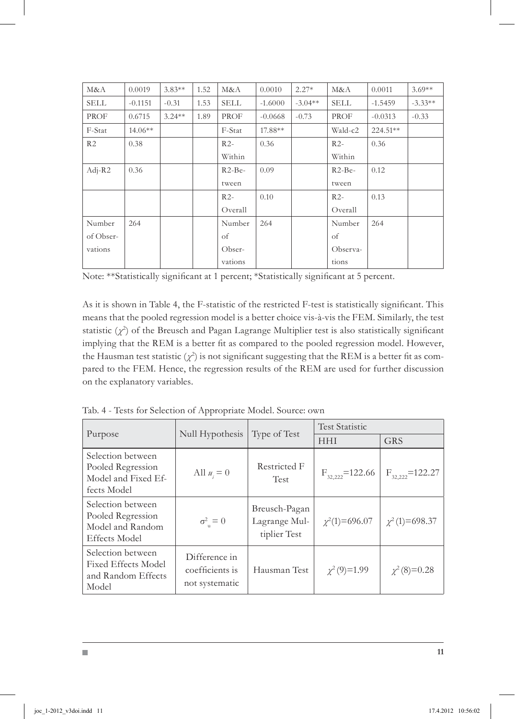| M&A            | 0.0019    | $3.83**$  | 1.52 | M&A         | 0.0010    | $2.27*$   | M&A         | 0.0011    | $3.69**$  |
|----------------|-----------|-----------|------|-------------|-----------|-----------|-------------|-----------|-----------|
| SELL           | $-0.1151$ | $-0.31$   | 1.53 | <b>SELL</b> | $-1.6000$ | $-3.04**$ | <b>SELL</b> | $-1.5459$ | $-3.33**$ |
| PROF           | 0.6715    | $3.24***$ | 1.89 | PROF        | $-0.0668$ | $-0.73$   | PROF        | $-0.0313$ | $-0.33$   |
| F-Stat         | $14.06**$ |           |      | F-Stat      | 17.88**   |           | Wald-c2     | 224.51**  |           |
| R <sub>2</sub> | 0.38      |           |      | $R2-$       | 0.36      |           | $R2-$       | 0.36      |           |
|                |           |           |      | Within      |           |           | Within      |           |           |
| $Adj-R2$       | 0.36      |           |      | $R2-Be-$    | 0.09      |           | $R2-Be-$    | 0.12      |           |
|                |           |           |      | tween       |           |           | tween       |           |           |
|                |           |           |      | $R2-$       | 0.10      |           | $R2-$       | 0.13      |           |
|                |           |           |      | Overall     |           |           | Overall     |           |           |
| Number         | 264       |           |      | Number      | 264       |           | Number      | 264       |           |
| of Obser-      |           |           |      | of          |           |           | of          |           |           |
| vations        |           |           |      | Obser-      |           |           | Observa-    |           |           |
|                |           |           |      | vations     |           |           | tions       |           |           |

Note: \*\*Statistically significant at 1 percent; \*Statistically significant at 5 percent.

As it is shown in Table 4, the F-statistic of the restricted F-test is statistically significant. This means that the pooled regression model is a better choice vis-à-vis the FEM. Similarly, the test statistic  $(\chi^2)$  of the Breusch and Pagan Lagrange Multiplier test is also statistically significant implying that the REM is a better fit as compared to the pooled regression model. However, the Hausman test statistic  $(\chi^2)$  is not significant suggesting that the REM is a better fit as compared to the FEM. Hence, the regression results of the REM are used for further discussion on the explanatory variables.

Tab. 4 - Tests for Selection of Appropriate Model. Source: own

|                                                                                    | Null Hypothesis                                    | Type of Test                                   | <b>Test Statistic</b>                                                  |                      |  |  |
|------------------------------------------------------------------------------------|----------------------------------------------------|------------------------------------------------|------------------------------------------------------------------------|----------------------|--|--|
| Purpose                                                                            |                                                    |                                                | <b>GRS</b><br><b>HHI</b><br>$F_{32.222}$ =122.66<br>$\chi^2(1)=696.07$ |                      |  |  |
| Selection between<br>Pooled Regression<br>Model and Fixed Ef-<br>fects Model       | All $u_i = 0$                                      | Restricted F<br><b>Test</b>                    |                                                                        | $F_{32,222}$ =122.27 |  |  |
| Selection between<br>Pooled Regression<br>Model and Random<br><b>Effects Model</b> | $\sigma_{\rm n}^2 = 0$                             | Breusch-Pagan<br>Lagrange Mul-<br>tiplier Test |                                                                        | $\chi^2(1) = 698.37$ |  |  |
| Selection between<br><b>Fixed Effects Model</b><br>and Random Effects<br>Model     | Difference in<br>coefficients is<br>not systematic | Hausman Test                                   | $\chi^2(9)=1.99$                                                       | $\chi^2(8)=0.28$     |  |  |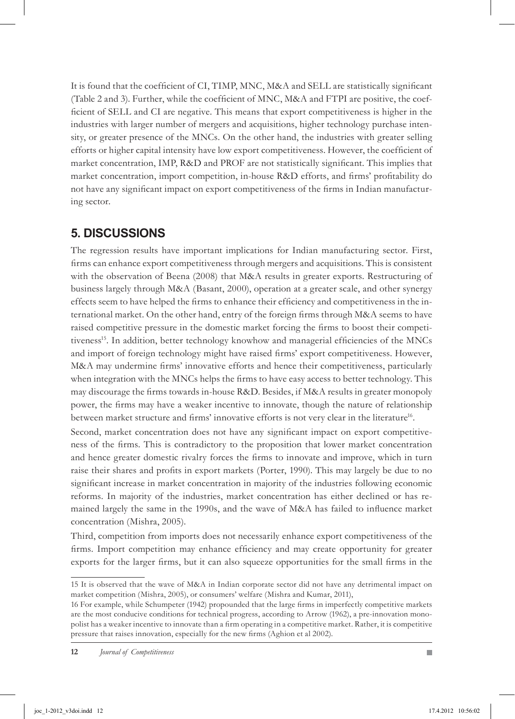It is found that the coefficient of CI, TIMP, MNC, M&A and SELL are statistically significant (Table 2 and 3). Further, while the coefficient of MNC, M&A and FTPI are positive, the coefficient of SELL and CI are negative. This means that export competitiveness is higher in the industries with larger number of mergers and acquisitions, higher technology purchase intensity, or greater presence of the MNCs. On the other hand, the industries with greater selling efforts or higher capital intensity have low export competitiveness. However, the coefficient of market concentration, IMP, R&D and PROF are not statistically significant. This implies that market concentration, import competition, in-house R&D efforts, and firms' profitability do not have any significant impact on export competitiveness of the firms in Indian manufacturing sector.

## **5. Discussions**

The regression results have important implications for Indian manufacturing sector. First, firms can enhance export competitiveness through mergers and acquisitions. This is consistent with the observation of Beena (2008) that M&A results in greater exports. Restructuring of business largely through M&A (Basant, 2000), operation at a greater scale, and other synergy effects seem to have helped the firms to enhance their efficiency and competitiveness in the international market. On the other hand, entry of the foreign firms through M&A seems to have raised competitive pressure in the domestic market forcing the firms to boost their competitiveness<sup>15</sup>. In addition, better technology knowhow and managerial efficiencies of the MNCs and import of foreign technology might have raised firms' export competitiveness. However, M&A may undermine firms' innovative efforts and hence their competitiveness, particularly when integration with the MNCs helps the firms to have easy access to better technology. This may discourage the firms towards in-house R&D. Besides, if M&A results in greater monopoly power, the firms may have a weaker incentive to innovate, though the nature of relationship between market structure and firms' innovative efforts is not very clear in the literature<sup>16</sup>.

Second, market concentration does not have any significant impact on export competitiveness of the firms. This is contradictory to the proposition that lower market concentration and hence greater domestic rivalry forces the firms to innovate and improve, which in turn raise their shares and profits in export markets (Porter, 1990). This may largely be due to no significant increase in market concentration in majority of the industries following economic reforms. In majority of the industries, market concentration has either declined or has remained largely the same in the 1990s, and the wave of M&A has failed to influence market concentration (Mishra, 2005).

Third, competition from imports does not necessarily enhance export competitiveness of the firms. Import competition may enhance efficiency and may create opportunity for greater exports for the larger firms, but it can also squeeze opportunities for the small firms in the

<sup>15</sup> It is observed that the wave of M&A in Indian corporate sector did not have any detrimental impact on market competition (Mishra, 2005), or consumers' welfare (Mishra and Kumar, 2011),

<sup>16</sup> For example, while Schumpeter (1942) propounded that the large firms in imperfectly competitive markets are the most conducive conditions for technical progress, according to Arrow (1962), a pre-innovation monopolist has a weaker incentive to innovate than a firm operating in a competitive market. Rather, it is competitive pressure that raises innovation, especially for the new firms (Aghion et al 2002).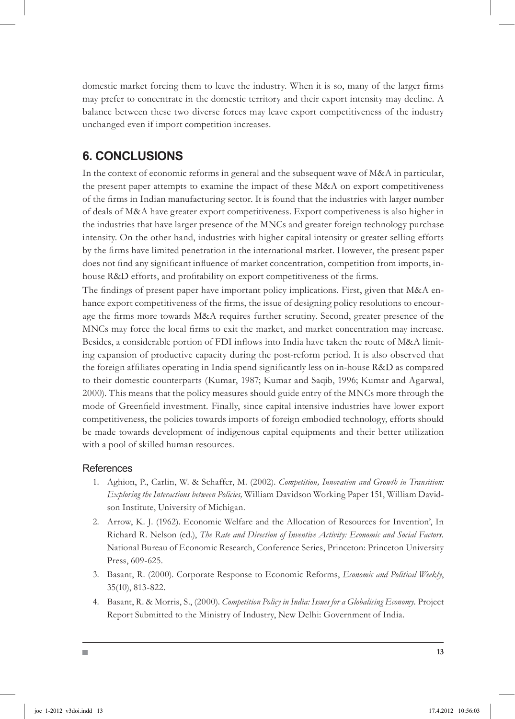domestic market forcing them to leave the industry. When it is so, many of the larger firms may prefer to concentrate in the domestic territory and their export intensity may decline. A balance between these two diverse forces may leave export competitiveness of the industry unchanged even if import competition increases.

# **6. Conclusions**

In the context of economic reforms in general and the subsequent wave of M&A in particular, the present paper attempts to examine the impact of these M&A on export competitiveness of the firms in Indian manufacturing sector. It is found that the industries with larger number of deals of M&A have greater export competitiveness. Export competiveness is also higher in the industries that have larger presence of the MNCs and greater foreign technology purchase intensity. On the other hand, industries with higher capital intensity or greater selling efforts by the firms have limited penetration in the international market. However, the present paper does not find any significant influence of market concentration, competition from imports, inhouse R&D efforts, and profitability on export competitiveness of the firms.

The findings of present paper have important policy implications. First, given that M&A enhance export competitiveness of the firms, the issue of designing policy resolutions to encourage the firms more towards M&A requires further scrutiny. Second, greater presence of the MNCs may force the local firms to exit the market, and market concentration may increase. Besides, a considerable portion of FDI inflows into India have taken the route of M&A limiting expansion of productive capacity during the post-reform period. It is also observed that the foreign affiliates operating in India spend significantly less on in-house R&D as compared to their domestic counterparts (Kumar, 1987; Kumar and Saqib, 1996; Kumar and Agarwal, 2000). This means that the policy measures should guide entry of the MNCs more through the mode of Greenfield investment. Finally, since capital intensive industries have lower export competitiveness, the policies towards imports of foreign embodied technology, efforts should be made towards development of indigenous capital equipments and their better utilization with a pool of skilled human resources.

### References

- Aghion, P., Carlin, W. & Schaffer, M. (2002). *Competition, Innovation and Growth in Transition:*  1. *Exploring the Interactions between Policies,* William Davidson Working Paper 151, William Davidson Institute, University of Michigan.
- Arrow, K. J. (1962). Economic Welfare and the Allocation of Resources for Invention', In 2. Richard R. Nelson (ed.), *The Rate and Direction of Inventive Activity: Economic and Social Factors.* National Bureau of Economic Research, Conference Series, Princeton: Princeton University Press, 609-625.
- 3. Basant, R. (2000). Corporate Response to Economic Reforms, *Economic and Political Weekly*, 35(10), 813-822.
- 4. Basant, R. & Morris, S., (2000). *Competition Policy in India: Issues for a Globalising Economy*. Project Report Submitted to the Ministry of Industry, New Delhi: Government of India.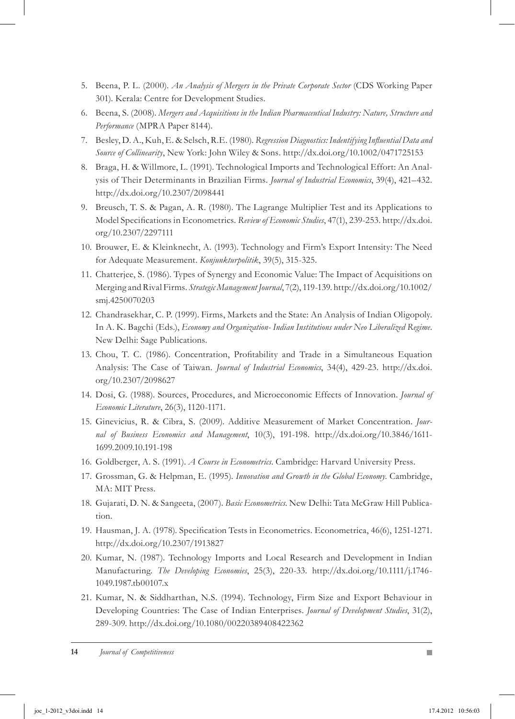- Beena, P. L. (2000). *An Analysis of Mergers in the Private Corporate Sector* (CDS Working Paper 5. 301). Kerala: Centre for Development Studies.
- Beena, S. (2008). *Mergers and Acquisitions in the Indian Pharmaceutical Industry: Nature, Structure and*  . *Performance* (MPRA Paper 8144).
- Besley, D. A., Kuh, E. & Selsch, R.E. (1980). *Regression Diagnostics: Indentifying Influential Data and*  7. *Source of Collinearity*, New York: John Wiley & Sons. http://dx.doi.org/10.1002/0471725153
- Braga, H. & Willmore, L. (1991). Technological Imports and Technological Effort: An Anal-8. ysis of Their Determinants in Brazilian Firms. *Journal of Industrial Economics*, 39(4), 421–432. http://dx.doi.org/10.2307/2098441
- Breusch, T. S. & Pagan, A. R. (1980). The Lagrange Multiplier Test and its Applications to 9. Model Specifications in Econometrics. *Review of Economic Studies*, 47(1), 239-253. http://dx.doi. org/10.2307/2297111
- 10. Brouwer, E. & Kleinknecht, A. (1993). Technology and Firm's Export Intensity: The Need for Adequate Measurement. *Konjunkturpolitik*, 39(5), 315-325.
- Chatterjee, S. (1986). Types of Synergy and Economic Value: The Impact of Acquisitions on 11. Merging and Rival Firms. *Strategic Management Journal*, 7(2), 119-139. http://dx.doi.org/10.1002/ smj.4250070203
- Chandrasekhar, C. P. (1999). Firms, Markets and the State: An Analysis of Indian Oligopoly. 12. In A. K. Bagchi (Eds.), *Economy and Organization- Indian Institutions under Neo Liberalized Regime*. New Delhi: Sage Publications.
- Chou, T. C. (1986). Concentration, Profitability and Trade in a Simultaneous Equation 13. Analysis: The Case of Taiwan. *Journal of Industrial Economics*, 34(4), 429-23. http://dx.doi. org/10.2307/2098627
- 14. Dosi, G. (1988). Sources, Procedures, and Microeconomic Effects of Innovation. *Journal of Economic Literature*, 26(3), 1120-1171.
- Ginevicius, R. & Cibra, S. (2009). Additive Measurement of Market Concentration. *Jour-*15. *nal of Business Economics and Management*, 10(3), 191-198. http://dx.doi.org/10.3846/1611- 1699.2009.10.191-198
- 16. Goldberger, A. S. (1991). *A Course in Econometrics*. Cambridge: Harvard University Press.
- Grossman, G. & Helpman, E. (1995). *Innovation and Growth in the Global Economy*. Cambridge, 17. MA: MIT Press.
- 18. Gujarati, D. N. & Sangeeta, (2007). *Basic Econometrics*. New Delhi: Tata McGraw Hill Publication.
- 19. Hausman, J. A. (1978). Specification Tests in Econometrics. Econometrica, 46(6), 1251-1271. http://dx.doi.org/10.2307/1913827
- 20. Kumar, N. (1987). Technology Imports and Local Research and Development in Indian Manufacturing. *The Developing Economies*, 25(3), 220-33. http://dx.doi.org/10.1111/j.1746- 1049.1987.tb00107.x
- 21. Kumar, N. & Siddharthan, N.S. (1994). Technology, Firm Size and Export Behaviour in Developing Countries: The Case of Indian Enterprises. *Journal of Development Studies*, 31(2), 289-309. http://dx.doi.org/10.1080/00220389408422362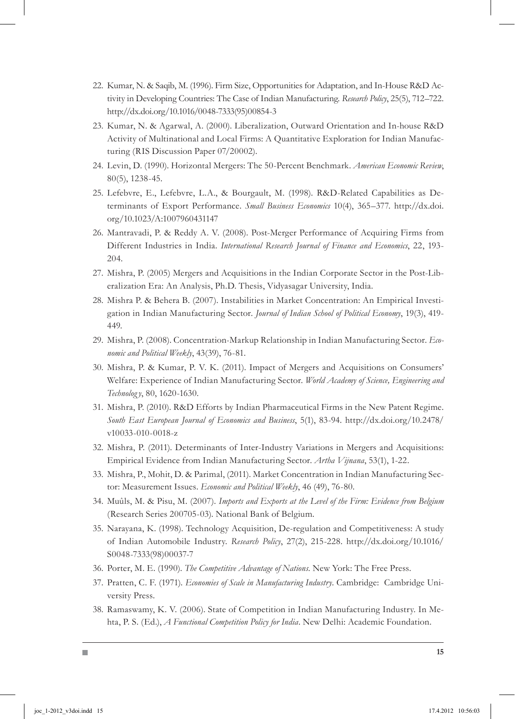- 22. Kumar, N. & Saqib, M. (1996). Firm Size, Opportunities for Adaptation, and In-House R&D Activity in Developing Countries: The Case of Indian Manufacturing. *Research Policy*, 25(5), 712–722. http://dx.doi.org/10.1016/0048-7333(95)00854-3
- 23. Kumar, N. & Agarwal, A. (2000). Liberalization, Outward Orientation and In-house R&D Activity of Multinational and Local Firms: A Quantitative Exploration for Indian Manufacturing (RIS Discussion Paper 07/20002).
- 24. Levin, D. (1990). Horizontal Mergers: The 50-Percent Benchmark. *American Economic Review*, 80(5), 1238-45.
- Lefebvre, E., Lefebvre, L.A., & Bourgault, M. (1998). R&D-Related Capabilities as De-25. terminants of Export Performance. *Small Business Economics* 10(4), 365–377. http://dx.doi. org/10.1023/A:1007960431147
- 26. Mantravadi, P. & Reddy A. V. (2008). Post-Merger Performance of Acquiring Firms from Different Industries in India. *International Research Journal of Finance and Economics*, 22, 193- 204.
- 27. Mishra, P. (2005) Mergers and Acquisitions in the Indian Corporate Sector in the Post-Liberalization Era: An Analysis, Ph.D. Thesis, Vidyasagar University, India.
- 28. Mishra P. & Behera B. (2007). Instabilities in Market Concentration: An Empirical Investigation in Indian Manufacturing Sector. *Journal of Indian School of Political Economy*, 19(3), 419- 449.
- Mishra, P. (2008). Concentration-Markup Relationship in Indian Manufacturing Sector. *Eco-*29. *nomic and Political Weekly*, 43(39), 76-81.
- Mishra, P. & Kumar, P. V. K. (2011). Impact of Mergers and Acquisitions on Consumers' 30. Welfare: Experience of Indian Manufacturing Sector. *World Academy of Science, Engineering and Technolog y*, 80, 1620-1630.
- Mishra, P. (2010). R&D Efforts by Indian Pharmaceutical Firms in the New Patent Regime. 31. *South East European Journal of Economics and Business*, 5(1), 83-94. http://dx.doi.org/10.2478/ v10033-010-0018-z
- 32. Mishra, P. (2011). Determinants of Inter-Industry Variations in Mergers and Acquisitions: Empirical Evidence from Indian Manufacturing Sector. *Artha Vijnana*, 53(1), 1-22.
- 33. Mishra, P., Mohit, D. & Parimal, (2011). Market Concentration in Indian Manufacturing Sector: Measurement Issues. *Economic and Political Weekly*, 46 (49), 76-80.
- Muûls, M. & Pisu, M. (2007). *Imports and Exports at the Level of the Firm: Evidence from Belgium*  34. (Research Series 200705-03). National Bank of Belgium.
- 35. Narayana, K. (1998). Technology Acquisition, De-regulation and Competitiveness: A study of Indian Automobile Industry. *Research Policy*, 27(2), 215-228. http://dx.doi.org/10.1016/ S0048-7333(98)00037-7
- 36. Porter, M. E. (1990). *The Competitive Advantage of Nations*. New York: The Free Press.
- 37. Pratten, C. F. (1971). *Economies of Scale in Manufacturing Industry*. Cambridge: Cambridge University Press.
- 38. Ramaswamy, K. V. (2006). State of Competition in Indian Manufacturing Industry. In Mehta, P. S. (Ed.), *A Functional Competition Policy for India*. New Delhi: Academic Foundation.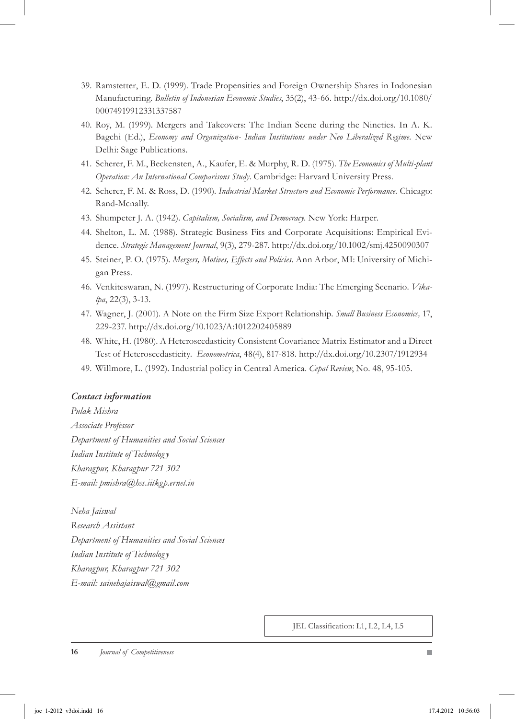- 39. Ramstetter, E. D. (1999). Trade Propensities and Foreign Ownership Shares in Indonesian Manufacturing. *Bulletin of Indonesian Economic Studies*, 35(2), 43-66. http://dx.doi.org/10.1080/ 00074919912331337587
- 40. Roy, M. (1999). Mergers and Takeovers: The Indian Scene during the Nineties. In A. K. Bagchi (Ed.), *Economy and Organization- Indian Institutions under Neo Liberalized Regime*. New Delhi: Sage Publications.
- Scherer, F. M., Beckensten, A., Kaufer, E. & Murphy, R. D. (1975). *The Economics of Multi-plant*  41. *Operation: An International Comparisons Study*. Cambridge: Harvard University Press.
- 42. Scherer, F. M. & Ross, D. (1990). *Industrial Market Structure and Economic Performance*. Chicago: Rand-Mcnally.
- 43. Shumpeter J. A. (1942). *Capitalism, Socialism, and Democracy*. New York: Harper.
- 44. Shelton, L. M. (1988). Strategic Business Fits and Corporate Acquisitions: Empirical Evidence. *Strategic Management Journal*, 9(3), 279-287. http://dx.doi.org/10.1002/smj.4250090307
- 45. Steiner, P. O. (1975). *Mergers, Motives, Effects and Policies*. Ann Arbor, MI: University of Michigan Press.
- Venkiteswaran, N. (1997). Restructuring of Corporate India: The Emerging Scenario. *Vika-*46. *lpa*, 22(3), 3-13.
- Wagner, J. (2001). A Note on the Firm Size Export Relationship. *Small Business Economics,* 17, 47. 229-237. http://dx.doi.org/10.1023/A:1012202405889
- White, H. (1980). A Heteroscedasticity Consistent Covariance Matrix Estimator and a Direct 48. Test of Heteroscedasticity. *Econometrica*, 48(4), 817-818. http://dx.doi.org/10.2307/1912934
- Willmore, L. (1992). Industrial policy in Central America. *Cepal Review*, No. 48, 95-105. 49.

#### *Contact information*

*Pulak Mishra Associate Professor Department of Humanities and Social Sciences Indian Institute of Technolog y Kharagpur, Kharagpur 721 302 E-mail: pmishra@hss.iitkgp.ernet.in*

*Neha Jaiswal Research Assistant Department of Humanities and Social Sciences Indian Institute of Technolog y Kharagpur, Kharagpur 721 302 E-mail: sainehajaiswal@gmail.com*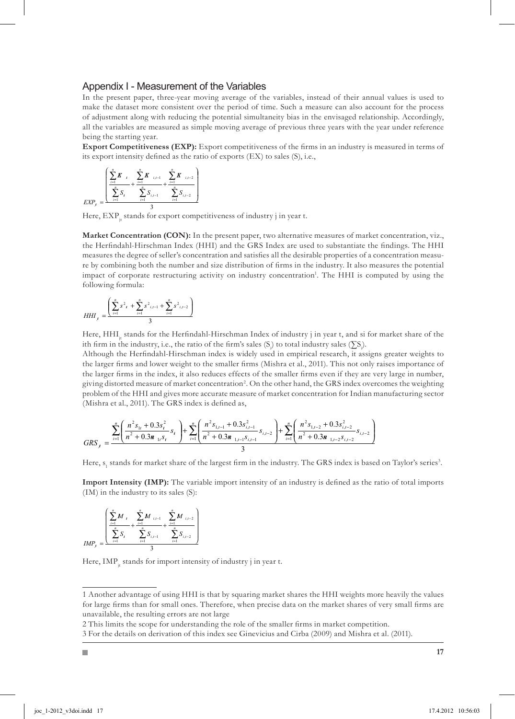#### Appendix I - Measurement of the Variables

In the present paper, three-year moving average of the variables, instead of their annual values is used to make the dataset more consistent over the period of time. Such a measure can also account for the process of adjustment along with reducing the potential simultaneity bias in the envisaged relationship. Accordingly, all the variables are measured as simple moving average of previous three years with the year under reference being the starting year.

**Export Competitiveness (EXP):** Export competitiveness of the firms in an industry is measured in terms of its export intensity defined as the ratio of exports (EX) to sales (S), i.e.,

$$
EXP_{j} = \frac{\left(\sum_{i=1}^{n} \mathbf{K}_{i} + \sum_{i=1}^{n} \mathbf{K}_{i,i-1} + \sum_{i=1}^{n} \mathbf{K}_{i,i-2}\right)}{2} + \frac{\sum_{i=1}^{n} \mathbf{K}_{i,i-2}}{\sum_{i=1}^{n} \mathbf{S}_{i,i-2}}
$$

Here,  $EXP<sub>i</sub>$  stands for export competitiveness of industry j in year t.

**Market Concentration (CON):** In the present paper, two alternative measures of market concentration, viz., the Herfindahl-Hirschman Index (HHI) and the GRS Index are used to substantiate the findings. The HHI measures the degree of seller's concentration and satisfies all the desirable properties of a concentration measure by combining both the number and size distribution of firms in the industry. It also measures the potential impact of corporate restructuring activity on industry concentration<sup>1</sup>. The HHI is computed by using the following formula:

$$
HHI_{j} = \frac{\left(\sum_{i=1}^{n} s^{2} + \sum_{i=1}^{n} s^{2} \cdot (s-1) + \sum_{i=1}^{n} s^{2} \cdot (s-2)\right)}{3}
$$

Here, HHI, stands for the Herfindahl-Hirschman Index of industry j in year t, and si for market share of the ith firm in the industry, i.e., the ratio of the firm's sales (S) to total industry sales (∑S).

Although the Herfindahl-Hirschman index is widely used in empirical research, it assigns greater weights to the larger firms and lower weight to the smaller firms (Mishra et al., 2011). This not only raises importance of the larger firms in the index, it also reduces effects of the smaller firms even if they are very large in number, giving distorted measure of market concentration<sup>2</sup>. On the other hand, the GRS index overcomes the weighting problem of the HHI and gives more accurate measure of market concentration for Indian manufacturing sector (Mishra et al., 2011). The GRS index is defined as,

$$
GRS_{j} = \frac{\sum_{i=1}^{n} \left( \frac{n^{2} s_{1i} + 0.3 s_{i}^{2}}{n^{2} + 0.3 \mathbf{a}_{1i} s_{1i}} s_{1i} \right) + \sum_{i=1}^{n} \left( \frac{n^{2} s_{1,i-1} + 0.3 s_{i,i-1}^{2}}{n^{2} + 0.3 \mathbf{a}_{1,i-1} s_{i,i-1}} s_{i,i-2} \right) + \sum_{i=1}^{n} \left( \frac{n^{2} s_{1,i-2} + 0.3 s_{i,i-2}^{2}}{n^{2} + 0.3 \mathbf{a}_{1,i-2} s_{i,i-2}} s_{i,i-2} \right)}{3}
$$

Here,  $s_i$  stands for market share of the largest firm in the industry. The GRS index is based on Taylor's series<sup>3</sup>.

**Import Intensity (IMP):** The variable import intensity of an industry is defined as the ratio of total imports (IM) in the industry to its sales (S):

$$
IMP_{j} = \frac{\left(\sum_{i=1}^{n} M_{t}}{\sum_{i=1}^{n} S_{i}} + \frac{\sum_{i=1}^{n} M_{t,i-1}}{\sum_{i=1}^{n} S_{i,i-1}} + \frac{\sum_{i=1}^{n} M_{t,i-2}}{\sum_{i=1}^{n} S_{i,i-2}}\right)}{3}
$$

Here, IMP<sub>is</sub> stands for import intensity of industry j in year t.

2 This limits the scope for understanding the role of the smaller firms in market competition.

Another advantage of using HHI is that by squaring market shares the HHI weights more heavily the values for large firms than for small ones. Therefore, when precise data on the market shares of very small firms are unavailable, the resulting errors are not large

For the details on derivation of this index see Ginevicius and Cirba (2009) and Mishra et al. (2011).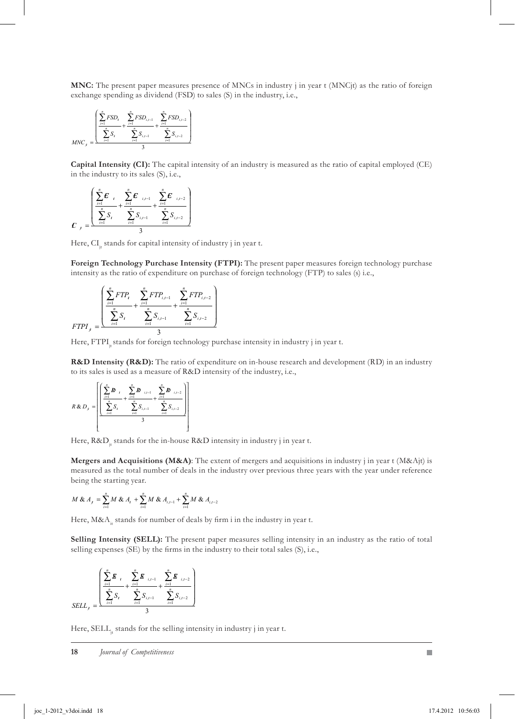**MNC:** The present paper measures presence of MNCs in industry j in year t (MNCjt) as the ratio of foreign exchange spending as dividend (FSD) to sales (S) in the industry, i.e.,

$$
MNC_j = \frac{{\left(\displaystyle\sum_{i=1}^{n} FSD_i - \displaystyle\sum_{i=1}^{n} FSD_{i,j-1} \right)}^2 + \frac{\displaystyle\sum_{i=1}^{n} FSD_{i,j-2}}{\displaystyle\sum_{i=1}^{n} S_{i,i-1}}}{3}}{3}
$$

**Capital Intensity (CI):** The capital intensity of an industry is measured as the ratio of capital employed (CE) in the industry to its sales (S), i.e.,

$$
C_{j} = \frac{\left(\sum_{i=1}^{n} E_{i} + \sum_{i=1}^{n} E_{i,i-1} + \sum_{i=1}^{n} E_{i,i-2}\right)}{S_{j}} + \frac{\sum_{i=1}^{n} E_{i,i-2}}{S_{j}}\right)}{3}
$$

Here, CI<sub>1</sub> stands for capital intensity of industry j in year t.

**Foreign Technology Purchase Intensity (FTPI):** The present paper measures foreign technology purchase intensity as the ratio of expenditure on purchase of foreign technology (FTP) to sales (s) i.e.,

$$
FTPI_{j} = \frac{\left(\sum_{i=1}^{n} FTP_{i} + \sum_{i=1}^{n} FTP_{i,i-1} + \sum_{i=1}^{n} FTP_{i,i-2}\right)}{S_{i} + \sum_{i=1}^{n} S_{i,i-1} + \sum_{i=1}^{n} S_{i,i-2}}
$$

Here, FTPI, stands for foreign technology purchase intensity in industry j in year t.

**R&D Intensity (R&D):** The ratio of expenditure on in-house research and development (RD) in an industry to its sales is used as a measure of R&D intensity of the industry, i.e.,

$$
R \& D_j = \left[ \frac{\left( \sum_{i=1}^{n} B_{i} + \sum_{i=1}^{n} B_{i,j-1} + \frac{\sum_{i=1}^{n} B_{i,j-2}}{\sum_{i=1}^{n} S_{i,i-1}} + \frac{\sum_{i=1}^{n} B_{i,j-2}}{\sum_{i=1}^{n} S_{i,i-2}} \right)}{3} \right]
$$

Here,  $R&D_{\alpha}$  stands for the in-house  $R&D$  intensity in industry j in year t.

**Mergers and Acquisitions (M&A)**: The extent of mergers and acquisitions in industry j in year t (M&Ajt) is measured as the total number of deals in the industry over previous three years with the year under reference being the starting year.

$$
M \& A_{j} = \sum_{i=1}^{n} M \& A_{i} + \sum_{i=1}^{n} M \& A_{i,i-1} + \sum_{i=1}^{n} M \& A_{i,i-2}
$$

Here,  $M&A_i$  stands for number of deals by firm i in the industry in year t.

**Selling Intensity (SELL):** The present paper measures selling intensity in an industry as the ratio of total selling expenses (SE) by the firms in the industry to their total sales (S), i.e.,

$$
SELL_{j} = \frac{\left(\sum_{i=1}^{n} \boldsymbol{E}_{i} + \sum_{i=1}^{n} \boldsymbol{E}_{i,i-1} + \frac{\sum_{i=1}^{n} \boldsymbol{E}_{i,i-2}}{\sum_{i=1}^{n} S_{i,i-1}} + \frac{\sum_{i=1}^{n} \boldsymbol{E}_{i,i-2}}{\sum_{i=1}^{n} S_{i,i-2}}\right)}{3}
$$

Here, SELL, stands for the selling intensity in industry j in year t.